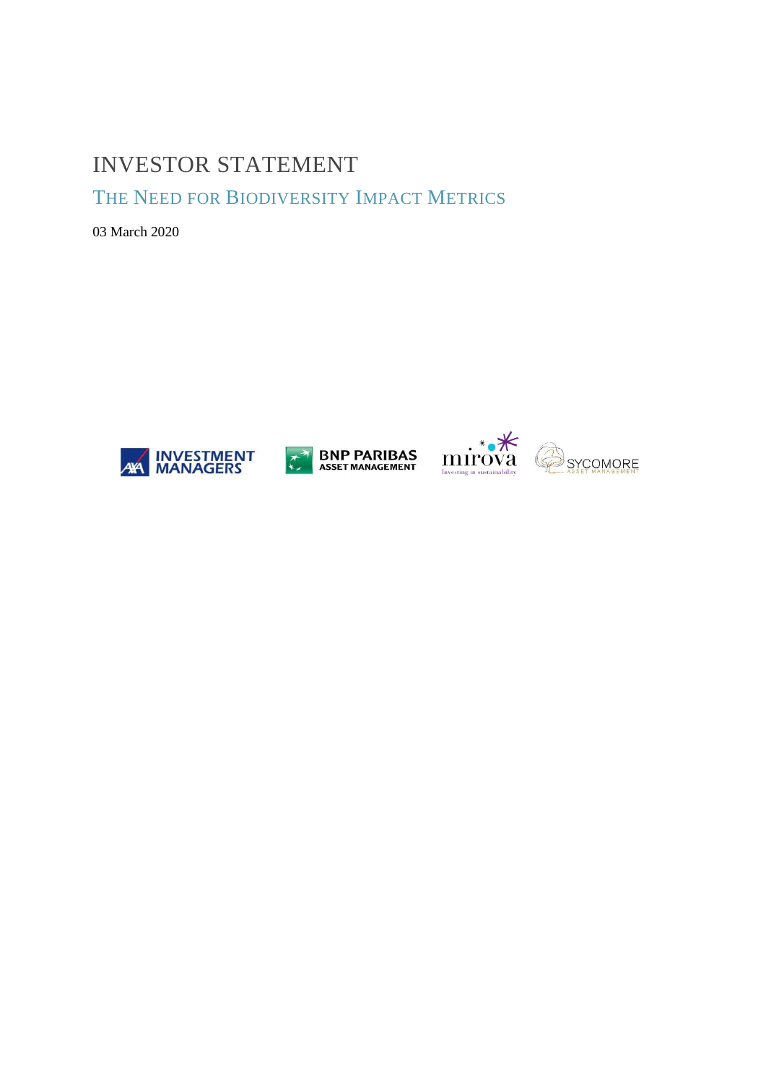## **INVESTOR STATEMENT**

THE NEED FOR BIODIVERSITY IMPACT METRICS

03 March 2020







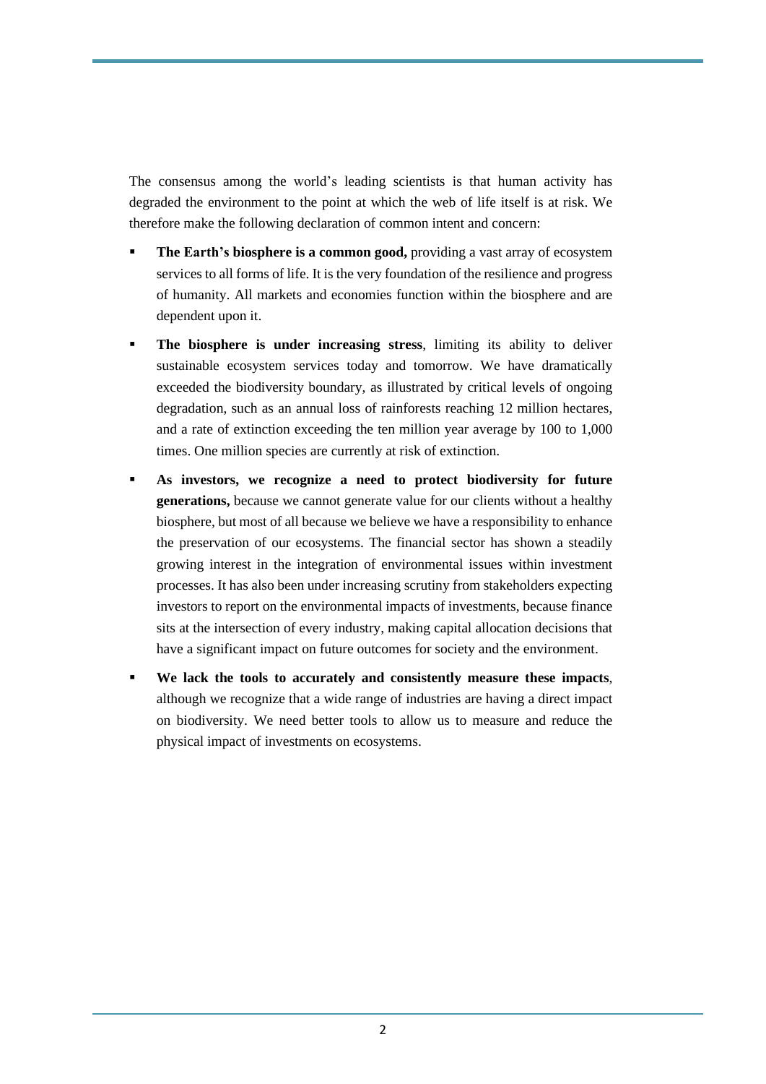The consensus among the world's leading scientists is that human activity has degraded the environment to the point at which the web of life itself is at risk. We therefore make the following declaration of common intent and concern:

- **The Earth's biosphere is a common good,** providing a vast array of ecosystem services to all forms of life. It is the very foundation of the resilience and progress of humanity. All markets and economies function within the biosphere and are dependent upon it.
- **The biosphere is under increasing stress**, limiting its ability to deliver sustainable ecosystem services today and tomorrow. We have dramatically exceeded the biodiversity boundary, as illustrated by critical levels of ongoing degradation, such as an annual loss of rainforests reaching 12 million hectares, and a rate of extinction exceeding the ten million year average by 100 to 1,000 times. One million species are currently at risk of extinction.
- **As investors, we recognize a need to protect biodiversity for future generations,** because we cannot generate value for our clients without a healthy biosphere, but most of all because we believe we have a responsibility to enhance the preservation of our ecosystems. The financial sector has shown a steadily growing interest in the integration of environmental issues within investment processes. It has also been under increasing scrutiny from stakeholders expecting investors to report on the environmental impacts of investments, because finance sits at the intersection of every industry, making capital allocation decisions that have a significant impact on future outcomes for society and the environment.
- **We lack the tools to accurately and consistently measure these impacts**, although we recognize that a wide range of industries are having a direct impact on biodiversity. We need better tools to allow us to measure and reduce the physical impact of investments on ecosystems.